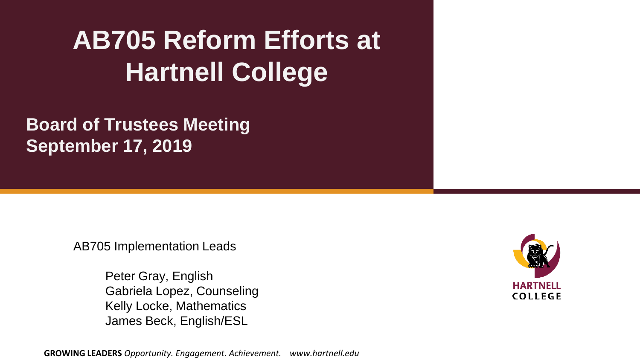#### **AB705 Reform Efforts at Hartnell College**

**Board of Trustees Meeting September 17, 2019**

AB705 Implementation Leads

Peter Gray, English Gabriela Lopez, Counseling Kelly Locke, Mathematics James Beck, English/ESL

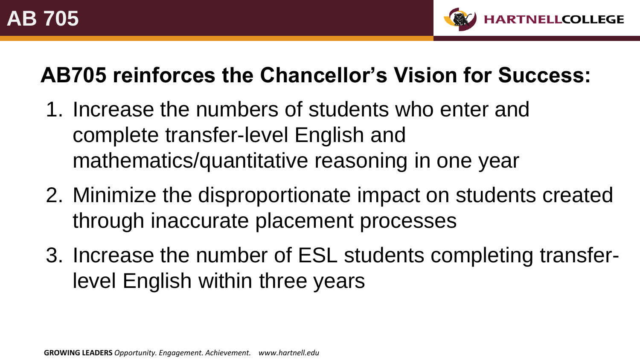

#### **AB705 reinforces the Chancellor's Vision for Success:**

- 1. Increase the numbers of students who enter and complete transfer-level English and mathematics/quantitative reasoning in one year
- 2. Minimize the disproportionate impact on students created through inaccurate placement processes
- 3. Increase the number of ESL students completing transferlevel English within three years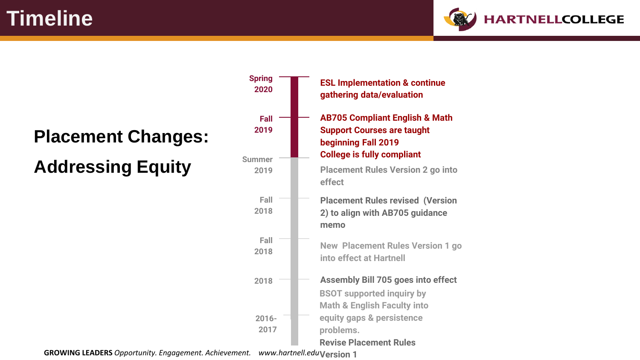**Timeline**



# **Placement Changes:**

**Addressing Equity**



**GROWING LEADERS** *Opportunity. Engagement. Achievement. www.hartnell.edu* www.hartnell.eduVersion 1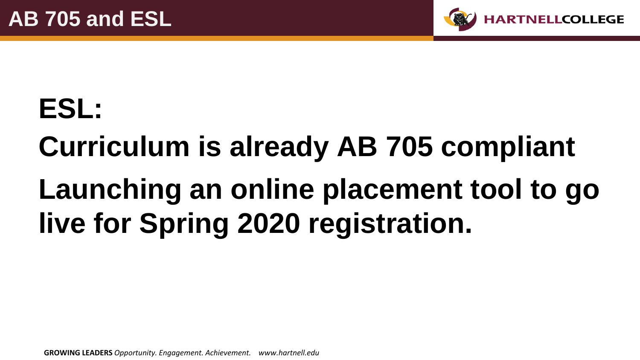

### **ESL:**

# **Curriculum is already AB 705 compliant Launching an online placement tool to go live for Spring 2020 registration.**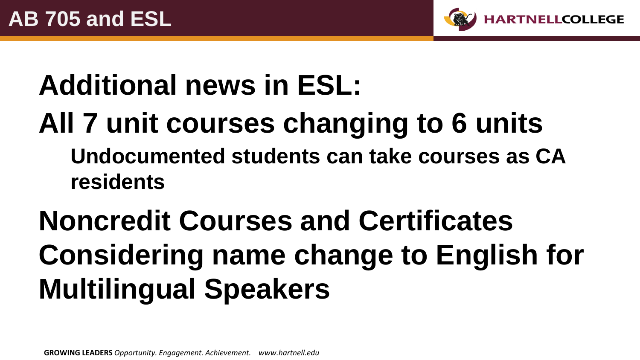

### **Additional news in ESL:**

**All 7 unit courses changing to 6 units Undocumented students can take courses as CA residents**

### **Noncredit Courses and Certificates Considering name change to English for Multilingual Speakers**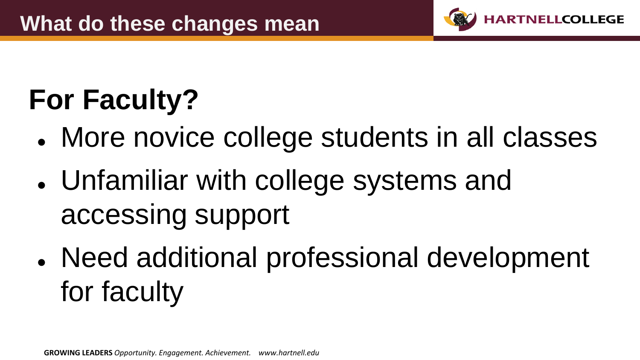

## **For Faculty?**

- More novice college students in all classes
- Unfamiliar with college systems and accessing support
- Need additional professional development for faculty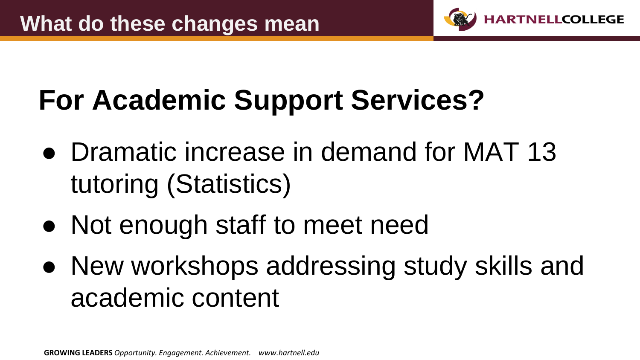

# **For Academic Support Services?**

- Dramatic increase in demand for MAT 13 tutoring (Statistics)
- Not enough staff to meet need
- New workshops addressing study skills and academic content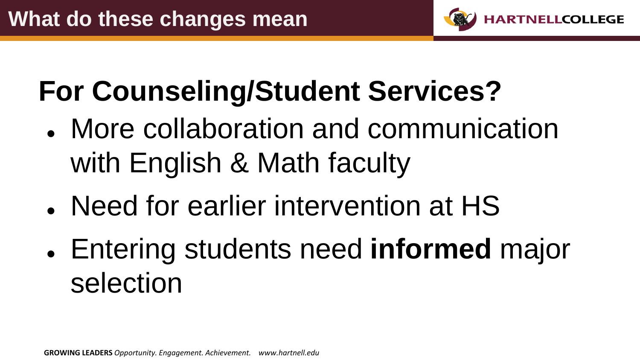

### **For Counseling/Student Services?**

- More collaboration and communication with English & Math faculty
- Need for earlier intervention at HS
- Entering students need **informed** major selection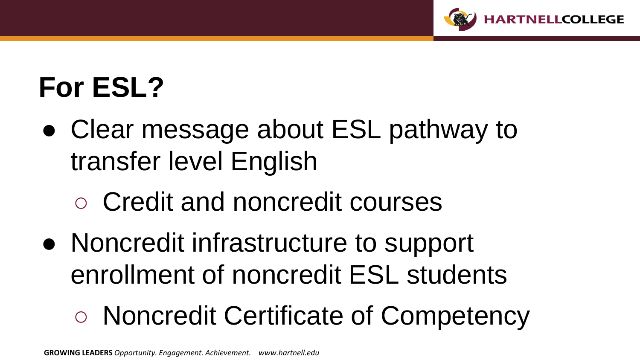

### **For ESL?**

- Clear message about ESL pathway to transfer level English
	- Credit and noncredit courses
- Noncredit infrastructure to support enrollment of noncredit ESL students

### ○ Noncredit Certificate of Competency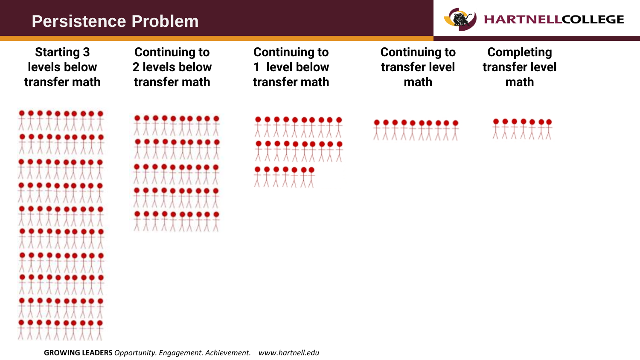#### **Persistence Problem**



**Starting 3 levels below transfer math**

**Continuing to 2 levels below transfer math**

**Continuing to 1 level below transfer math** **Continuing to transfer level math**

**Completing transfer level math**









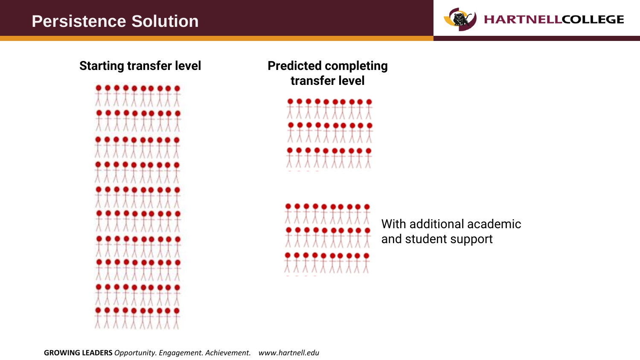



**Starting transfer level Predicted completing transfer level**





With additional academic and student support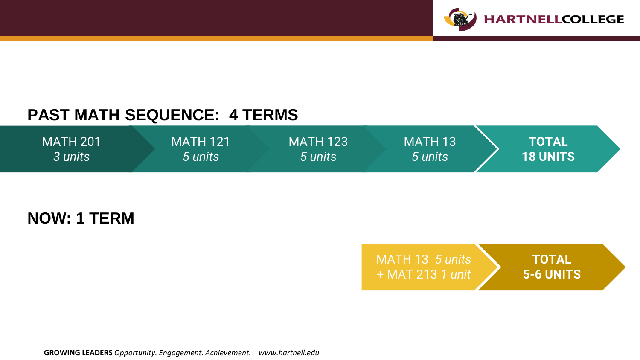

#### **PAST MATH SEQUENCE: 4 TERMS**



**NOW: 1 TERM**

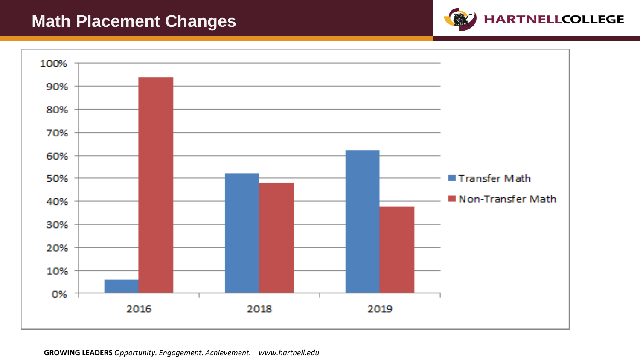#### **Math Placement Changes**



**HARTNELLCOLLEGE**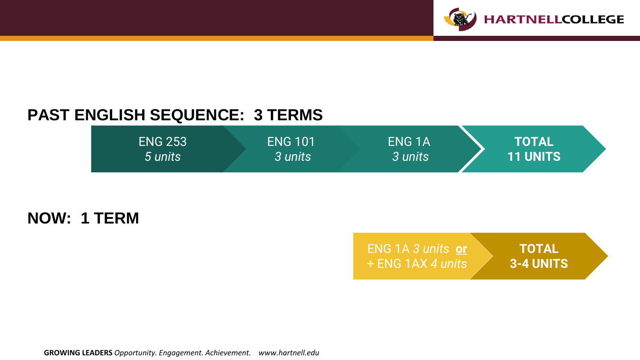

#### **PAST ENGLISH SEQUENCE: 3 TERMS**



**NOW: 1 TERM**

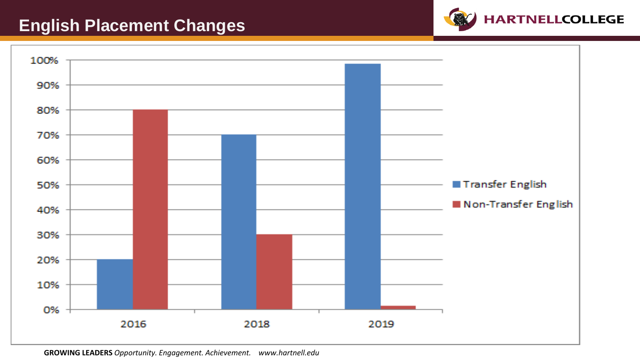#### **English Placement Changes**



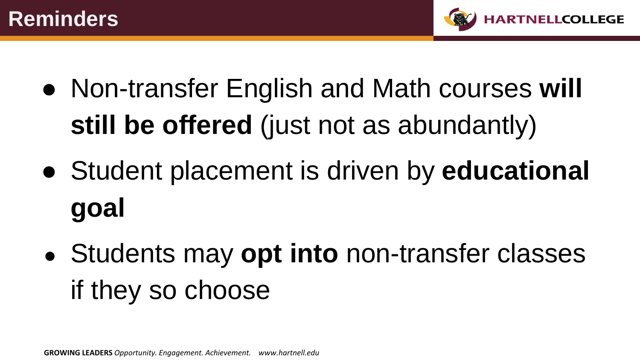

- Non-transfer English and Math courses **will still be offered** (just not as abundantly)
- Student placement is driven by **educational goal**
- Students may **opt into** non-transfer classes if they so choose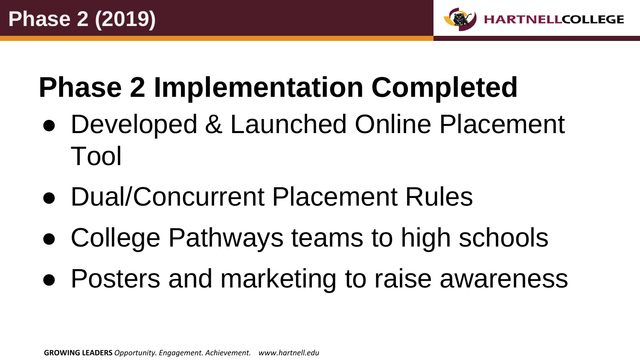

### **Phase 2 Implementation Completed**

- Developed & Launched Online Placement Tool
- Dual/Concurrent Placement Rules
- College Pathways teams to high schools
- Posters and marketing to raise awareness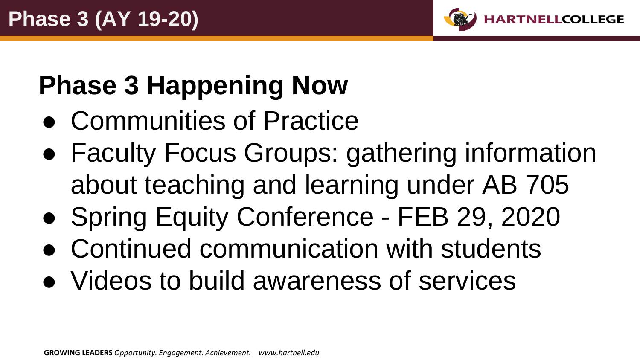

### **Phase 3 Happening Now**

- Communities of Practice
- Faculty Focus Groups: gathering information about teaching and learning under AB 705
- Spring Equity Conference FEB 29, 2020
- Continued communication with students
- Videos to build awareness of services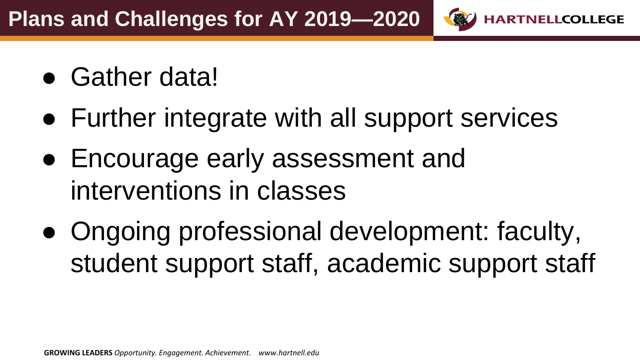- Gather data!
- Further integrate with all support services

**HARTNELLCOLLEGE** 

- Encourage early assessment and interventions in classes
- Ongoing professional development: faculty, student support staff, academic support staff